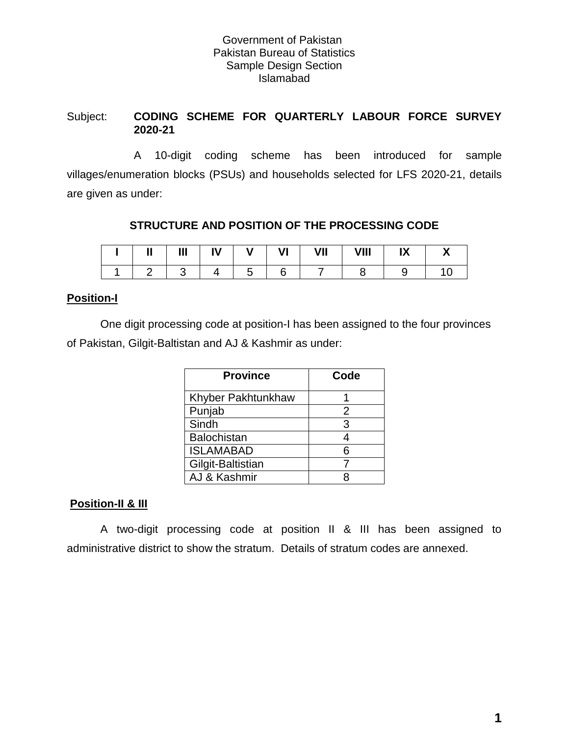#### Government of Pakistan Pakistan Bureau of Statistics Sample Design Section Islamabad

#### Subject: **CODING SCHEME FOR QUARTERLY LABOUR FORCE SURVEY 2020-21**

 A 10-digit coding scheme has been introduced for sample villages/enumeration blocks (PSUs) and households selected for LFS 2020-21, details are given as under:

### **STRUCTURE AND POSITION OF THE PROCESSING CODE**

| <br>Ш | Ш | IV | . .<br>v | VI | VII | VIII | IV<br>IΛ |  |
|-------|---|----|----------|----|-----|------|----------|--|
|       |   |    |          |    |     |      |          |  |

#### **Position-I**

One digit processing code at position-I has been assigned to the four provinces of Pakistan, Gilgit-Baltistan and AJ & Kashmir as under:

| <b>Province</b>           | Code |
|---------------------------|------|
| <b>Khyber Pakhtunkhaw</b> |      |
| Punjab                    | 2    |
| Sindh                     | 3    |
| <b>Balochistan</b>        | 4    |
| <b>ISLAMABAD</b>          | 6    |
| Gilgit-Baltistian         |      |
| AJ & Kashmir              |      |

## **Position-II & III**

A two-digit processing code at position II & III has been assigned to administrative district to show the stratum. Details of stratum codes are annexed.